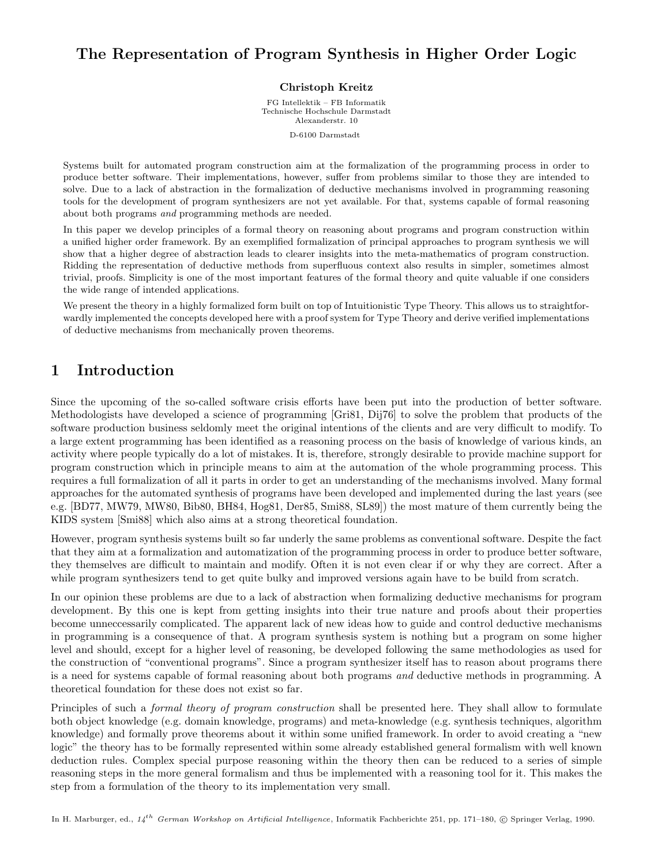# The Representation of Program Synthesis in Higher Order Logic

#### Christoph Kreitz

FG Intellektik – FB Informatik Technische Hochschule Darmstadt Alexanderstr. 10

D-6100 Darmstadt

Systems built for automated program construction aim at the formalization of the programming process in order to produce better software. Their implementations, however, suffer from problems similar to those they are intended to solve. Due to a lack of abstraction in the formalization of deductive mechanisms involved in programming reasoning tools for the development of program synthesizers are not yet available. For that, systems capable of formal reasoning about both programs and programming methods are needed.

In this paper we develop principles of a formal theory on reasoning about programs and program construction within a unified higher order framework. By an exemplified formalization of principal approaches to program synthesis we will show that a higher degree of abstraction leads to clearer insights into the meta-mathematics of program construction. Ridding the representation of deductive methods from superfluous context also results in simpler, sometimes almost trivial, proofs. Simplicity is one of the most important features of the formal theory and quite valuable if one considers the wide range of intended applications.

We present the theory in a highly formalized form built on top of Intuitionistic Type Theory. This allows us to straightforwardly implemented the concepts developed here with a proof system for Type Theory and derive verified implementations of deductive mechanisms from mechanically proven theorems.

## 1 Introduction

Since the upcoming of the so-called software crisis efforts have been put into the production of better software. Methodologists have developed a science of programming [Gri81, Dij76] to solve the problem that products of the software production business seldomly meet the original intentions of the clients and are very difficult to modify. To a large extent programming has been identified as a reasoning process on the basis of knowledge of various kinds, an activity where people typically do a lot of mistakes. It is, therefore, strongly desirable to provide machine support for program construction which in principle means to aim at the automation of the whole programming process. This requires a full formalization of all it parts in order to get an understanding of the mechanisms involved. Many formal approaches for the automated synthesis of programs have been developed and implemented during the last years (see e.g. [BD77, MW79, MW80, Bib80, BH84, Hog81, Der85, Smi88, SL89]) the most mature of them currently being the KIDS system [Smi88] which also aims at a strong theoretical foundation.

However, program synthesis systems built so far underly the same problems as conventional software. Despite the fact that they aim at a formalization and automatization of the programming process in order to produce better software, they themselves are difficult to maintain and modify. Often it is not even clear if or why they are correct. After a while program synthesizers tend to get quite bulky and improved versions again have to be build from scratch.

In our opinion these problems are due to a lack of abstraction when formalizing deductive mechanisms for program development. By this one is kept from getting insights into their true nature and proofs about their properties become unneccessarily complicated. The apparent lack of new ideas how to guide and control deductive mechanisms in programming is a consequence of that. A program synthesis system is nothing but a program on some higher level and should, except for a higher level of reasoning, be developed following the same methodologies as used for the construction of "conventional programs". Since a program synthesizer itself has to reason about programs there is a need for systems capable of formal reasoning about both programs and deductive methods in programming. A theoretical foundation for these does not exist so far.

Principles of such a *formal theory of program construction* shall be presented here. They shall allow to formulate both object knowledge (e.g. domain knowledge, programs) and meta-knowledge (e.g. synthesis techniques, algorithm knowledge) and formally prove theorems about it within some unified framework. In order to avoid creating a "new logic" the theory has to be formally represented within some already established general formalism with well known deduction rules. Complex special purpose reasoning within the theory then can be reduced to a series of simple reasoning steps in the more general formalism and thus be implemented with a reasoning tool for it. This makes the step from a formulation of the theory to its implementation very small.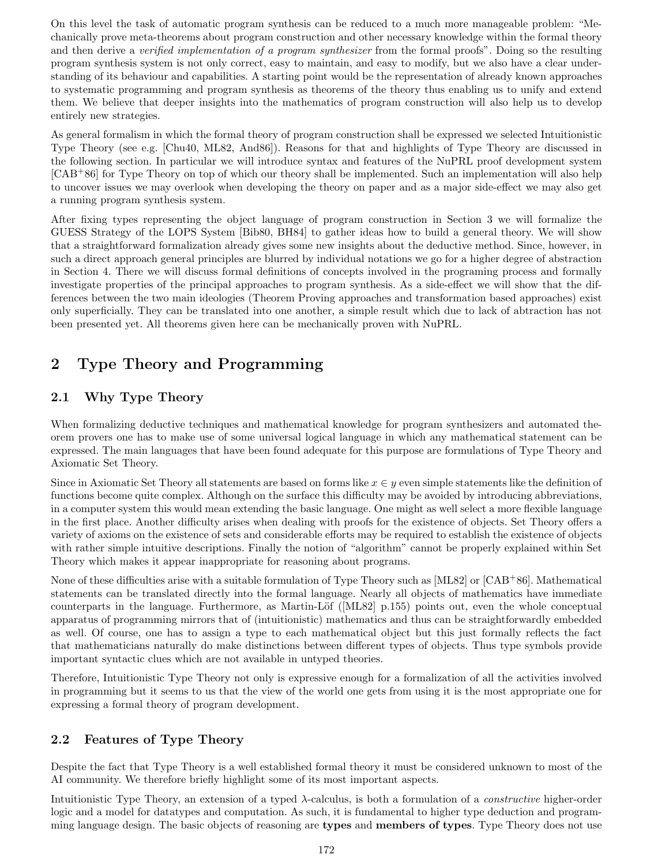On this level the task of automatic program synthesis can be reduced to a much more manageable problem: "Mechanically prove meta-theorems about program construction and other necessary knowledge within the formal theory and then derive a verified implementation of a program synthesizer from the formal proofs". Doing so the resulting program synthesis system is not only correct, easy to maintain, and easy to modify, but we also have a clear understanding of its behaviour and capabilities. A starting point would be the representation of already known approaches to systematic programming and program synthesis as theorems of the theory thus enabling us to unify and extend them. We believe that deeper insights into the mathematics of program construction will also help us to develop entirely new strategies.

As general formalism in which the formal theory of program construction shall be expressed we selected Intuitionistic Type Theory (see e.g. [Chu40, ML82, And86]). Reasons for that and highlights of Type Theory are discussed in the following section. In particular we will introduce syntax and features of the NuPRL proof development system [CAB<sup>+</sup>86] for Type Theory on top of which our theory shall be implemented. Such an implementation will also help to uncover issues we may overlook when developing the theory on paper and as a major side-effect we may also get a running program synthesis system.

After fixing types representing the object language of program construction in Section 3 we will formalize the GUESS Strategy of the LOPS System [Bib80, BH84] to gather ideas how to build a general theory. We will show that a straightforward formalization already gives some new insights about the deductive method. Since, however, in such a direct approach general principles are blurred by individual notations we go for a higher degree of abstraction in Section 4. There we will discuss formal definitions of concepts involved in the programing process and formally investigate properties of the principal approaches to program synthesis. As a side-effect we will show that the differences between the two main ideologies (Theorem Proving approaches and transformation based approaches) exist only superficially. They can be translated into one another, a simple result which due to lack of abtraction has not been presented yet. All theorems given here can be mechanically proven with NuPRL.

# 2 Type Theory and Programming

## 2.1 Why Type Theory

When formalizing deductive techniques and mathematical knowledge for program synthesizers and automated theorem provers one has to make use of some universal logical language in which any mathematical statement can be expressed. The main languages that have been found adequate for this purpose are formulations of Type Theory and Axiomatic Set Theory.

Since in Axiomatic Set Theory all statements are based on forms like  $x \in y$  even simple statements like the definition of functions become quite complex. Although on the surface this difficulty may be avoided by introducing abbreviations, in a computer system this would mean extending the basic language. One might as well select a more flexible language in the first place. Another difficulty arises when dealing with proofs for the existence of objects. Set Theory offers a variety of axioms on the existence of sets and considerable efforts may be required to establish the existence of objects with rather simple intuitive descriptions. Finally the notion of "algorithm" cannot be properly explained within Set Theory which makes it appear inappropriate for reasoning about programs.

None of these difficulties arise with a suitable formulation of Type Theory such as [ML82] or [CAB+86]. Mathematical statements can be translated directly into the formal language. Nearly all objects of mathematics have immediate counterparts in the language. Furthermore, as Martin-Löf ([ML82] p.155) points out, even the whole conceptual apparatus of programming mirrors that of (intuitionistic) mathematics and thus can be straightforwardly embedded as well. Of course, one has to assign a type to each mathematical object but this just formally reflects the fact that mathematicians naturally do make distinctions between different types of objects. Thus type symbols provide important syntactic clues which are not available in untyped theories.

Therefore, Intuitionistic Type Theory not only is expressive enough for a formalization of all the activities involved in programming but it seems to us that the view of the world one gets from using it is the most appropriate one for expressing a formal theory of program development.

### 2.2 Features of Type Theory

Despite the fact that Type Theory is a well established formal theory it must be considered unknown to most of the AI community. We therefore briefly highlight some of its most important aspects.

Intuitionistic Type Theory, an extension of a typed  $\lambda$ -calculus, is both a formulation of a *constructive* higher-order logic and a model for datatypes and computation. As such, it is fundamental to higher type deduction and programming language design. The basic objects of reasoning are types and members of types. Type Theory does not use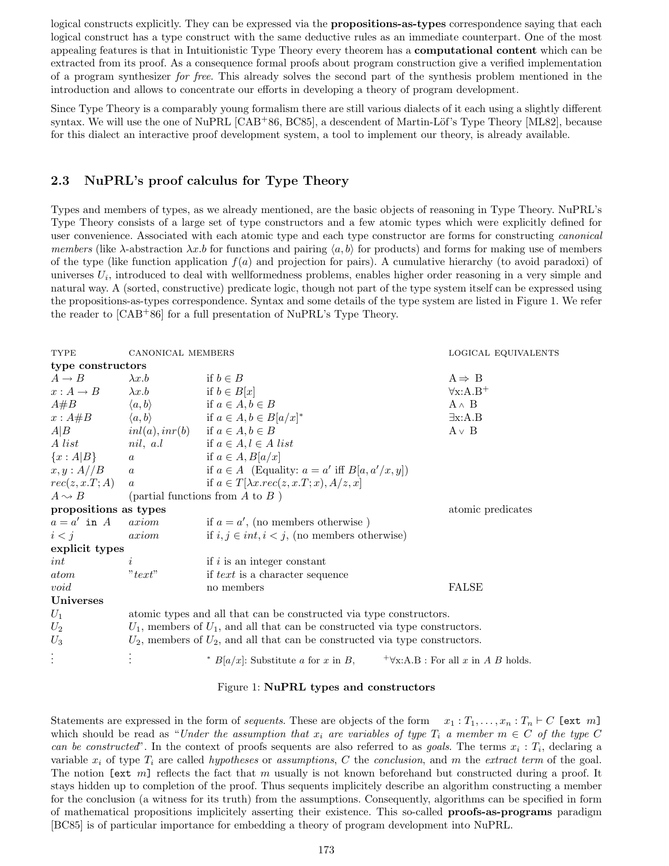logical constructs explicitly. They can be expressed via the **propositions-as-types** correspondence saying that each logical construct has a type construct with the same deductive rules as an immediate counterpart. One of the most appealing features is that in Intuitionistic Type Theory every theorem has a computational content which can be extracted from its proof. As a consequence formal proofs about program construction give a verified implementation of a program synthesizer for free. This already solves the second part of the synthesis problem mentioned in the introduction and allows to concentrate our efforts in developing a theory of program development.

Since Type Theory is a comparably young formalism there are still various dialects of it each using a slightly different syntax. We will use the one of NuPRL  $[CAB<sup>+</sup>86, BC85]$ , a descendent of Martin-Löf's Type Theory  $[ML82]$ , because for this dialect an interactive proof development system, a tool to implement our theory, is already available.

### 2.3 NuPRL's proof calculus for Type Theory

Types and members of types, as we already mentioned, are the basic objects of reasoning in Type Theory. NuPRL's Type Theory consists of a large set of type constructors and a few atomic types which were explicitly defined for user convenience. Associated with each atomic type and each type constructor are forms for constructing canonical members (like  $\lambda$ -abstraction  $\lambda x.b$  for functions and pairing  $\langle a, b \rangle$  for products) and forms for making use of members of the type (like function application  $f(a)$  and projection for pairs). A cumulative hierarchy (to avoid paradoxi) of universes  $U_i$ , introduced to deal with wellformedness problems, enables higher order reasoning in a very simple and natural way. A (sorted, constructive) predicate logic, though not part of the type system itself can be expressed using the propositions-as-types correspondence. Syntax and some details of the type system are listed in Figure 1. We refer the reader to [CAB<sup>+</sup>86] for a full presentation of NuPRL's Type Theory.

| TYPE                                       | CANONICAL MEMBERS                                                                 |                                                                                                   | LOGICAL EQUIVALENTS |  |
|--------------------------------------------|-----------------------------------------------------------------------------------|---------------------------------------------------------------------------------------------------|---------------------|--|
| type constructors                          |                                                                                   |                                                                                                   |                     |  |
| $A \rightarrow B$                          | $\lambda x.b$                                                                     | if $b \in B$                                                                                      | $A \Rightarrow B$   |  |
| $x:A\rightarrow B$                         | $\lambda x.b$                                                                     | if $b \in B[x]$                                                                                   | $\forall x:A.B^+$   |  |
|                                            | $A \# B$ $\langle a, b \rangle$ if $a \in A, b \in B$                             |                                                                                                   | $A \wedge B$        |  |
|                                            |                                                                                   | $x: A \# B$ $\langle a, b \rangle$ if $a \in A, b \in B[a/x]^*$                                   | $\exists x:A.B$     |  |
|                                            | $A B$ $inl(a), inv(b)$ if $a \in A, b \in B$                                      |                                                                                                   | $A \vee B$          |  |
|                                            |                                                                                   | $A\; list \qquad \qquad nil,\; a.l \qquad \qquad \text{if}\; a\in A, l\in A\; list$               |                     |  |
|                                            |                                                                                   | { $x : A B$ } $a$ if $a \in A, B[a/x]$<br>$x, y : A//B$ $a$ if $a \in A$ (Equal                   |                     |  |
| $x, y : A//B$ a                            |                                                                                   | if $a \in A$ (Equality: $a = a'$ iff $B[a, a'/x, y]$ )                                            |                     |  |
| rec(z, x.T; A)                             | $\overline{a}$                                                                    | if $a \in T[\lambda x \cdot rec(z, x \cdot T; x), A/z, x]$                                        |                     |  |
|                                            | $A \rightsquigarrow B$ (partial functions from A to B)                            |                                                                                                   |                     |  |
| propositions as types<br>atomic predicates |                                                                                   |                                                                                                   |                     |  |
| $a = a'$ in A                              | axiom                                                                             | if $a = a'$ , (no members otherwise)                                                              |                     |  |
| i < j                                      | axiom                                                                             | if $i, j \in int, i < j$ , (no members otherwise)                                                 |                     |  |
| explicit types                             |                                                                                   |                                                                                                   |                     |  |
| int                                        | $\dot{i}$                                                                         | if $i$ is an integer constant                                                                     |                     |  |
| atom                                       | "text"                                                                            | if text is a character sequence                                                                   |                     |  |
| void                                       |                                                                                   | no members                                                                                        | <b>FALSE</b>        |  |
| Universes                                  |                                                                                   |                                                                                                   |                     |  |
| $U_1$                                      | atomic types and all that can be constructed via type constructors.               |                                                                                                   |                     |  |
| $U_2$                                      | $U_1$ , members of $U_1$ , and all that can be constructed via type constructors. |                                                                                                   |                     |  |
| $U_3$                                      | $U_2$ , members of $U_2$ , and all that can be constructed via type constructors. |                                                                                                   |                     |  |
| $\frac{1}{2}$                              |                                                                                   | * $B[a/x]$ : Substitute a for x in B, $\qquad \qquad$ + $\forall$ x:A.B : For all x in A B holds. |                     |  |

#### Figure 1: NuPRL types and constructors

Statements are expressed in the form of sequents. These are objects of the form  $x_1 : T_1, \ldots, x_n : T_n \vdash C$  [ext m] which should be read as "Under the assumption that  $x_i$  are variables of type  $T_i$  a member  $m \in C$  of the type C can be constructed". In the context of proofs sequents are also referred to as *goals*. The terms  $x_i : T_i$ , declaring a variable  $x_i$  of type  $T_i$  are called hypotheses or assumptions, C the conclusion, and m the extract term of the goal. The notion [ext m] reflects the fact that m usually is not known beforehand but constructed during a proof. It stays hidden up to completion of the proof. Thus sequents implicitely describe an algorithm constructing a member for the conclusion (a witness for its truth) from the assumptions. Consequently, algorithms can be specified in form of mathematical propositions implicitely asserting their existence. This so-called proofs-as-programs paradigm [BC85] is of particular importance for embedding a theory of program development into NuPRL.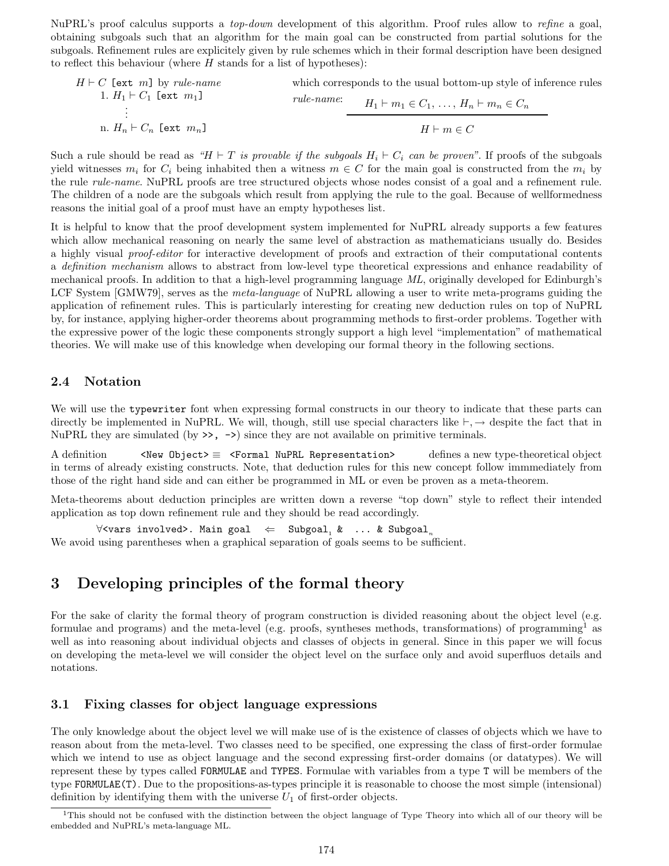NuPRL's proof calculus supports a *top-down* development of this algorithm. Proof rules allow to *refine* a goal, obtaining subgoals such that an algorithm for the main goal can be constructed from partial solutions for the subgoals. Refinement rules are explicitely given by rule schemes which in their formal description have been designed to reflect this behaviour (where  $H$  stands for a list of hypotheses):

$$
H \vdash C \text{ [ext } m \text{]} \text{ by rule-name} \qquad \text{which corresponds to the usual bottom-up style of inference rules: } \begin{aligned} H \vdash C_1 \text{ [ext } m_1 \text{]} & \text{rule-name:} \\ \vdots & \vdots \\ \text{n. } H_n \vdash C_n \text{ [ext } m_n \text{]} & H \vdash m_1 \in C_1, \dots, H_n \vdash m_n \in C_n \end{aligned}
$$

Such a rule should be read as " $H \vdash T$  is provable if the subgoals  $H_i \vdash C_i$  can be proven". If proofs of the subgoals yield witnesses  $m_i$  for  $C_i$  being inhabited then a witness  $m \in C$  for the main goal is constructed from the  $m_i$  by the rule-name. NuPRL proofs are tree structured objects whose nodes consist of a goal and a refinement rule. The children of a node are the subgoals which result from applying the rule to the goal. Because of wellformedness reasons the initial goal of a proof must have an empty hypotheses list.

It is helpful to know that the proof development system implemented for NuPRL already supports a few features which allow mechanical reasoning on nearly the same level of abstraction as mathematicians usually do. Besides a highly visual *proof-editor* for interactive development of proofs and extraction of their computational contents a definition mechanism allows to abstract from low-level type theoretical expressions and enhance readability of mechanical proofs. In addition to that a high-level programming language ML, originally developed for Edinburgh's LCF System [GMW79], serves as the *meta-language* of NuPRL allowing a user to write meta-programs guiding the application of refinement rules. This is particularly interesting for creating new deduction rules on top of NuPRL by, for instance, applying higher-order theorems about programming methods to first-order problems. Together with the expressive power of the logic these components strongly support a high level "implementation" of mathematical theories. We will make use of this knowledge when developing our formal theory in the following sections.

#### 2.4 Notation

We will use the **typewriter** font when expressing formal constructs in our theory to indicate that these parts can directly be implemented in NuPRL. We will, though, still use special characters like  $\vdash, \rightarrow$  despite the fact that in NuPRL they are simulated (by  $\gg$ ,  $\rightarrow$ ) since they are not available on primitive terminals.

A definition  $\leq$  New Object>  $\equiv$  <Formal NuPRL Representation> defines a new type-theoretical object in terms of already existing constructs. Note, that deduction rules for this new concept follow immmediately from those of the right hand side and can either be programmed in ML or even be proven as a meta-theorem.

Meta-theorems about deduction principles are written down a reverse "top down" style to reflect their intended application as top down refinement rule and they should be read accordingly.

∀<vars involved>. Main goal  $\Leftarrow$  Subgoal, & ... & Subgoal<sub>n</sub> We avoid using parentheses when a graphical separation of goals seems to be sufficient.

## 3 Developing principles of the formal theory

For the sake of clarity the formal theory of program construction is divided reasoning about the object level (e.g. formulae and programs) and the meta-level (e.g. proofs, syntheses methods, transformations) of programming<sup>1</sup> as well as into reasoning about individual objects and classes of objects in general. Since in this paper we will focus on developing the meta-level we will consider the object level on the surface only and avoid superfluos details and notations.

### 3.1 Fixing classes for object language expressions

The only knowledge about the object level we will make use of is the existence of classes of objects which we have to reason about from the meta-level. Two classes need to be specified, one expressing the class of first-order formulae which we intend to use as object language and the second expressing first-order domains (or datatypes). We will represent these by types called FORMULAE and TYPES. Formulae with variables from a type T will be members of the type FORMULAE(T). Due to the propositions-as-types principle it is reasonable to choose the most simple (intensional) definition by identifying them with the universe  $U_1$  of first-order objects.

<sup>&</sup>lt;sup>1</sup>This should not be confused with the distinction between the object language of Type Theory into which all of our theory will be embedded and NuPRL's meta-language ML.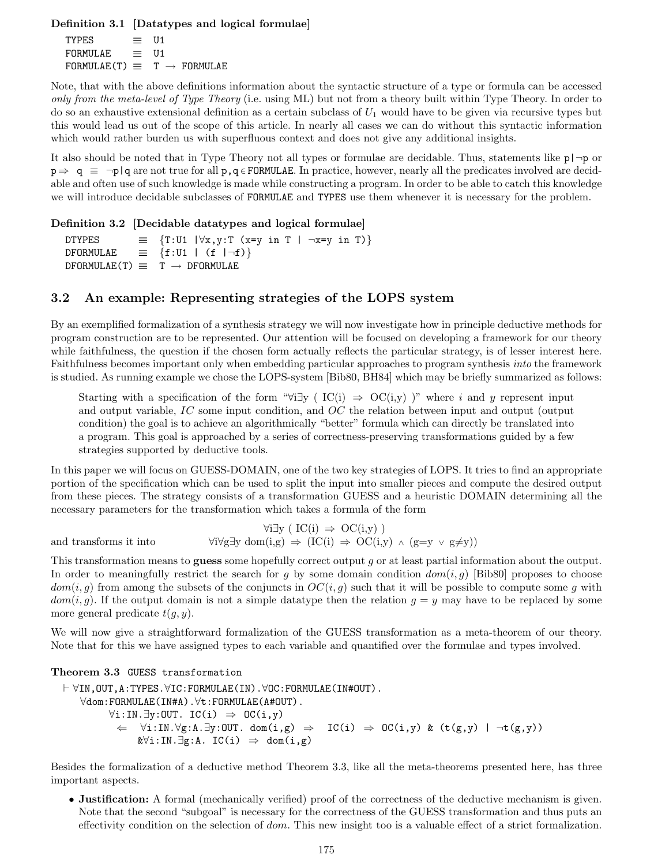Definition 3.1 [Datatypes and logical formulae]

 $TYPES \equiv U1$  $FORMULAE \equiv U1$  $FORMULAE(T) \equiv T \rightarrow FORMULAE$ 

Note, that with the above definitions information about the syntactic structure of a type or formula can be accessed only from the meta-level of Type Theory (i.e. using ML) but not from a theory built within Type Theory. In order to do so an exhaustive extensional definition as a certain subclass of  $U_1$  would have to be given via recursive types but this would lead us out of the scope of this article. In nearly all cases we can do without this syntactic information which would rather burden us with superfluous context and does not give any additional insights.

It also should be noted that in Type Theory not all types or formulae are decidable. Thus, statements like  $p|\neg p$  or p⇒ q  $\equiv \neg p \mid q$  are not true for all p,q ∈ FORMULAE. In practice, however, nearly all the predicates involved are decidable and often use of such knowledge is made while constructing a program. In order to be able to catch this knowledge we will introduce decidable subclasses of FORMULAE and TYPES use them whenever it is necessary for the problem.

#### Definition 3.2 [Decidable datatypes and logical formulae]

```
DTYPES \equiv \{T:U1 \mid \forall x,y:T \text{ (x=y in T } | \neg x=y \text{ in T})\}DFORMULAE \equiv {f:U1 | (f |¬f)}
DFORMULAE(T) \equiv T \rightarrow DFORMULAE
```
### 3.2 An example: Representing strategies of the LOPS system

By an exemplified formalization of a synthesis strategy we will now investigate how in principle deductive methods for program construction are to be represented. Our attention will be focused on developing a framework for our theory while faithfulness, the question if the chosen form actually reflects the particular strategy, is of lesser interest here. Faithfulness becomes important only when embedding particular approaches to program synthesis *into* the framework is studied. As running example we chose the LOPS-system [Bib80, BH84] which may be briefly summarized as follows:

Starting with a specification of the form " $\forall i\exists y \in \mathrm{IC}(i) \Rightarrow \mathrm{OC}(i,y)$ " where i and y represent input and output variable, IC some input condition, and OC the relation between input and output (output condition) the goal is to achieve an algorithmically "better" formula which can directly be translated into a program. This goal is approached by a series of correctness-preserving transformations guided by a few strategies supported by deductive tools.

In this paper we will focus on GUESS-DOMAIN, one of the two key strategies of LOPS. It tries to find an appropriate portion of the specification which can be used to split the input into smaller pieces and compute the desired output from these pieces. The strategy consists of a transformation GUESS and a heuristic DOMAIN determining all the necessary parameters for the transformation which takes a formula of the form

 $\forall i \exists y \ ( IC(i) \Rightarrow OC(i,y) )$ and transforms it into  $\forall i \forall g \exists y \, dom(i,g) \Rightarrow (IC(i) \Rightarrow OC(i,y) \land (g=y \lor g \neq y))$ 

This transformation means to guess some hopefully correct output  $g$  or at least partial information about the output. In order to meaningfully restrict the search for q by some domain condition  $dom(i, q)$  [Bib80] proposes to choose  $dom(i, g)$  from among the subsets of the conjuncts in  $OC(i, g)$  such that it will be possible to compute some g with  $dom(i, g)$ . If the output domain is not a simple datatype then the relation  $g = y$  may have to be replaced by some more general predicate  $t(g, y)$ .

We will now give a straightforward formalization of the GUESS transformation as a meta-theorem of our theory. Note that for this we have assigned types to each variable and quantified over the formulae and types involved.

#### Theorem 3.3 GUESS transformation

```
` ∀IN,OUT,A:TYPES.∀IC:FORMULAE(IN).∀OC:FORMULAE(IN#OUT).
   ∀dom:FORMULAE(IN#A).∀t:FORMULAE(A#OUT).
        \forall i:IN.\exists y:OUT. IC(i) \Rightarrow OC(i,y)⇐ ∀i:IN.∀g:A.∃y:OUT. dom(i,g) ⇒ IC(i) ⇒ OC(i,y) & (t(g,y) | ¬t(g,y))
              &∀i:IN.∃g:A. IC(i) ⇒ dom(i,g)
```
Besides the formalization of a deductive method Theorem 3.3, like all the meta-theorems presented here, has three important aspects.

• Justification: A formal (mechanically verified) proof of the correctness of the deductive mechanism is given. Note that the second "subgoal" is necessary for the correctness of the GUESS transformation and thus puts an effectivity condition on the selection of dom. This new insight too is a valuable effect of a strict formalization.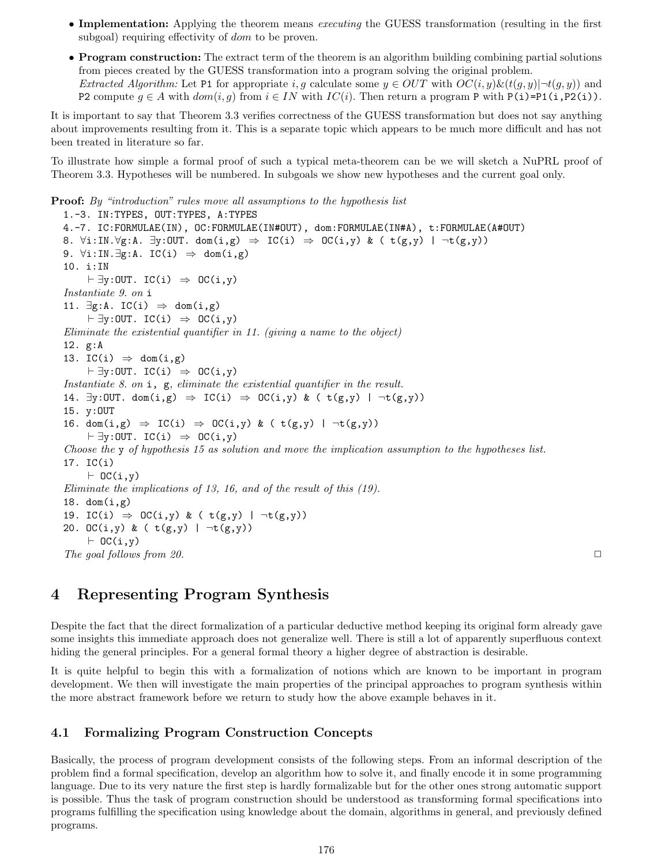- Implementation: Applying the theorem means *executing* the GUESS transformation (resulting in the first subgoal) requiring effectivity of *dom* to be proven.
- Program construction: The extract term of the theorem is an algorithm building combining partial solutions from pieces created by the GUESS transformation into a program solving the original problem. Extracted Algorithm: Let P1 for appropriate i, g calculate some  $y \in OUT$  with  $OC(i, y) \& (t(g, y)) \neg t(g, y)$  and P2 compute  $q \in A$  with  $dom(i, q)$  from  $i \in IN$  with  $IC(i)$ . Then return a program P with P(i)=P1(i,P2(i)).

It is important to say that Theorem 3.3 verifies correctness of the GUESS transformation but does not say anything about improvements resulting from it. This is a separate topic which appears to be much more difficult and has not been treated in literature so far.

To illustrate how simple a formal proof of such a typical meta-theorem can be we will sketch a NuPRL proof of Theorem 3.3. Hypotheses will be numbered. In subgoals we show new hypotheses and the current goal only.

**Proof:** By "introduction" rules move all assumptions to the hypothesis list

1.-3. IN:TYPES, OUT:TYPES, A:TYPES 4.-7. IC:FORMULAE(IN), OC:FORMULAE(IN#OUT), dom:FORMULAE(IN#A), t:FORMULAE(A#OUT) 8.  $\forall i:IN.\forall g:A. \exists y:OUT. dom(i,g) \Rightarrow IC(i) \Rightarrow OC(i,y) \& (t(g,y) \mid \neg t(g,y))$ 9.  $\forall i:IN.\exists g:A. IC(i) \Rightarrow dom(i,g)$ 10. i:IN  $\vdash \exists y:$ OUT. IC(i)  $\Rightarrow$  OC(i,y) Instantiate 9. on i 11.  $\exists g:A.\, IC(i) \Rightarrow dom(i,g)$  $\vdash \exists y:$  OUT. IC(i)  $\Rightarrow$  OC(i,y) Eliminate the existential quantifier in 11. (giving a name to the object) 12. g:A 13. IC(i)  $\Rightarrow$  dom(i,g)  $\vdash \exists y:$ OUT. IC(i)  $\Rightarrow$  OC(i,y) Instantiate 8. on i, g, eliminate the existential quantifier in the result. 14.  $\exists y: 00T. dom(i,g) \Rightarrow IC(i) \Rightarrow OC(i,y) \& (t(g,y) \mid \neg t(g,y))$ 15. y:OUT 16. dom(i,g)  $\Rightarrow$  IC(i)  $\Rightarrow$  OC(i,y) & ( t(g,y) | ¬t(g,y))  $\vdash \exists y:$ OUT. IC(i)  $\Rightarrow$  OC(i,y) Choose the y of hypothesis 15 as solution and move the implication assumption to the hypotheses list. 17. IC(i)  $\vdash$  OC(i,y) Eliminate the implications of 13, 16, and of the result of this (19). 18. dom(i,g) 19. IC(i)  $\Rightarrow$  OC(i,y) & ( t(g,y) | ¬t(g,y)) 20.  $OC(i, y) \& (t(g, y) | \neg t(g, y))$  $\vdash$  OC(i,y) The goal follows from 20.  $\Box$ 

# 4 Representing Program Synthesis

Despite the fact that the direct formalization of a particular deductive method keeping its original form already gave some insights this immediate approach does not generalize well. There is still a lot of apparently superfluous context hiding the general principles. For a general formal theory a higher degree of abstraction is desirable.

It is quite helpful to begin this with a formalization of notions which are known to be important in program development. We then will investigate the main properties of the principal approaches to program synthesis within the more abstract framework before we return to study how the above example behaves in it.

### 4.1 Formalizing Program Construction Concepts

Basically, the process of program development consists of the following steps. From an informal description of the problem find a formal specification, develop an algorithm how to solve it, and finally encode it in some programming language. Due to its very nature the first step is hardly formalizable but for the other ones strong automatic support is possible. Thus the task of program construction should be understood as transforming formal specifications into programs fulfilling the specification using knowledge about the domain, algorithms in general, and previously defined programs.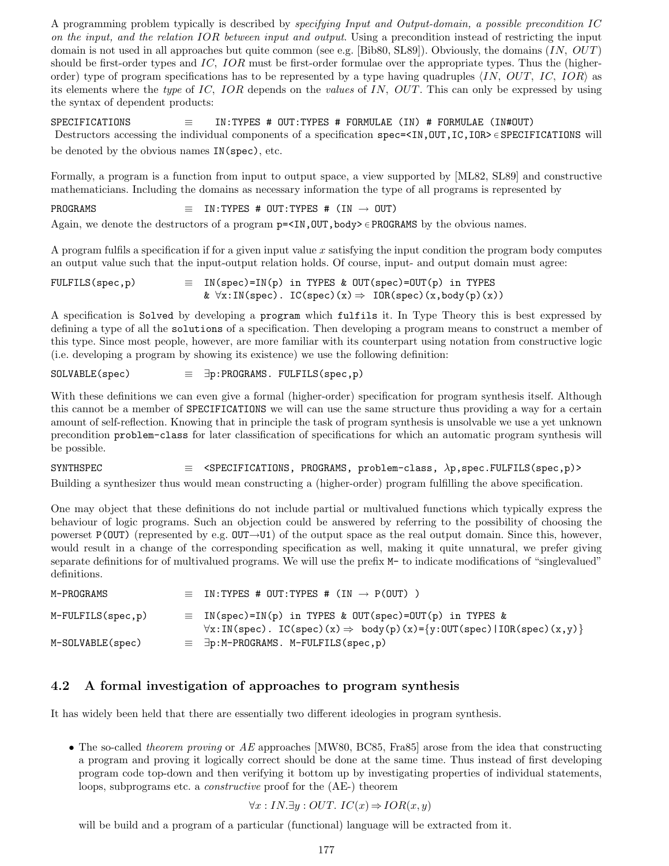A programming problem typically is described by specifying Input and Output-domain, a possible precondition IC on the input, and the relation IOR between input and output. Using a precondition instead of restricting the input domain is not used in all approaches but quite common (see e.g. [Bib80, SL89]). Obviously, the domains  $(IN, OUT)$ should be first-order types and IC, IOR must be first-order formulae over the appropriate types. Thus the (higherorder) type of program specifications has to be represented by a type having quadruples  $\langle IN, OUT, IC, IOR \rangle$  as its elements where the type of IC, IOR depends on the values of IN, OUT. This can only be expressed by using the syntax of dependent products:

 $SPECTFICATIONS$   $\equiv$  IN:TYPES # OUT:TYPES # FORMULAE (IN) # FORMULAE (IN#OUT) Destructors accessing the individual components of a specification spec=<IN,OUT,IC,IOR> ∈ SPECIFICATIONS will be denoted by the obvious names IN(spec), etc.

Formally, a program is a function from input to output space, a view supported by [ML82, SL89] and constructive mathematicians. Including the domains as necessary information the type of all programs is represented by

PROGRAMS  $\equiv$  IN:TYPES # OUT:TYPES # (IN  $\rightarrow$  OUT)

Again, we denote the destructors of a program p=<IN,OUT,body> <sup>∈</sup> PROGRAMS by the obvious names.

A program fulfils a specification if for a given input value x satisfying the input condition the program body computes an output value such that the input-output relation holds. Of course, input- and output domain must agree:

FULFILS(spec,p)  $\equiv$  IN(spec)=IN(p) in TYPES & OUT(spec)=OUT(p) in TYPES &  $\forall x: IN(\text{spec}).$  IC(spec)(x) ⇒ IOR(spec)(x,body(p)(x))

A specification is Solved by developing a program which fulfils it. In Type Theory this is best expressed by defining a type of all the solutions of a specification. Then developing a program means to construct a member of this type. Since most people, however, are more familiar with its counterpart using notation from constructive logic (i.e. developing a program by showing its existence) we use the following definition:

SOLVABLE(spec) 
$$
\equiv \exists p:PROGRAMS. FULFILS(spec, p)
$$

With these definitions we can even give a formal (higher-order) specification for program synthesis itself. Although this cannot be a member of SPECIFICATIONS we will can use the same structure thus providing a way for a certain amount of self-reflection. Knowing that in principle the task of program synthesis is unsolvable we use a yet unknown precondition problem-class for later classification of specifications for which an automatic program synthesis will be possible.

SYNTHSPEC  $\equiv$  <SPECIFICATIONS, PROGRAMS, problem-class,  $\lambda p$ , spec.FULFILS(spec, p)> Building a synthesizer thus would mean constructing a (higher-order) program fulfilling the above specification.

One may object that these definitions do not include partial or multivalued functions which typically express the behaviour of logic programs. Such an objection could be answered by referring to the possibility of choosing the powerset P(OUT) (represented by e.g. OUT→U1) of the output space as the real output domain. Since this, however,

would result in a change of the corresponding specification as well, making it quite unnatural, we prefer giving separate definitions for of multivalued programs. We will use the prefix M- to indicate modifications of "singlevalued" definitions.

| M-PROGRAMS           | $\equiv$ IN:TYPES # OUT:TYPES # (IN $\rightarrow$ P(OUT))                                                                                                                                                     |
|----------------------|---------------------------------------------------------------------------------------------------------------------------------------------------------------------------------------------------------------|
| $M-FULFILS(spec, p)$ | $\equiv$ IN(spec)=IN(p) in TYPES & OUT(spec)=OUT(p) in TYPES &<br>$\forall x : IN(\text{spec}). \text{ IC}(\text{spec})(x) \Rightarrow \text{body}(p)(x) = \{y : OUT(\text{spec})   IOR(\text{spec})(x,y)\}\$ |
| M-SOLVABLE(spec)     | $\equiv$ $\exists p$ :M-PROGRAMS. M-FULFILS(spec,p)                                                                                                                                                           |

### 4.2 A formal investigation of approaches to program synthesis

It has widely been held that there are essentially two different ideologies in program synthesis.

• The so-called *theorem proving* or  $AE$  approaches [MW80, BC85, Fra85] arose from the idea that constructing a program and proving it logically correct should be done at the same time. Thus instead of first developing program code top-down and then verifying it bottom up by investigating properties of individual statements, loops, subprograms etc. a *constructive* proof for the  $(AE-)$  theorem

$$
\forall x : IN.\exists y : OUT.\ IC(x) \Rightarrow IOR(x, y)
$$

will be build and a program of a particular (functional) language will be extracted from it.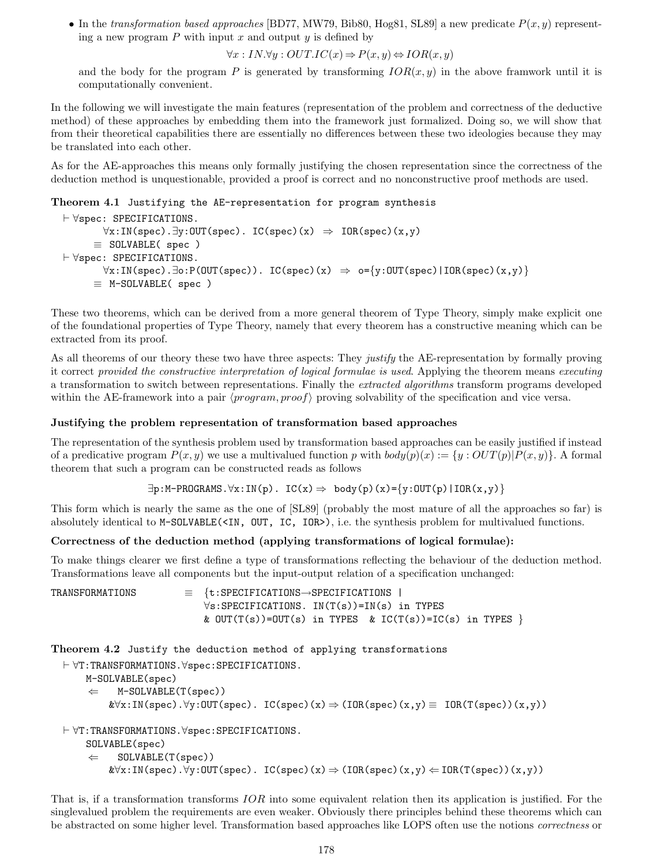• In the transformation based approaches [BD77, MW79, Bib80, Hog81, SL89] a new predicate  $P(x, y)$  representing a new program  $P$  with input  $x$  and output  $y$  is defined by

 $\forall x: IN.\forall y: OUT.IC(x) \Rightarrow P(x,y) \Leftrightarrow IOR(x,y)$ 

and the body for the program P is generated by transforming  $IOR(x, y)$  in the above framwork until it is computationally convenient.

In the following we will investigate the main features (representation of the problem and correctness of the deductive method) of these approaches by embedding them into the framework just formalized. Doing so, we will show that from their theoretical capabilities there are essentially no differences between these two ideologies because they may be translated into each other.

As for the AE-approaches this means only formally justifying the chosen representation since the correctness of the deduction method is unquestionable, provided a proof is correct and no nonconstructive proof methods are used.

### Theorem 4.1 Justifying the AE-representation for program synthesis

```
\vdash ∀spec: SPECIFICATIONS.
          \forall x: IN(\text{spec}).\exists y: OUT(\text{spec}).~IC(\text{spec})(x) \Rightarrow IOR(\text{spec})(x,y)\equiv SOLVABLE( spec )
⊩ ∀spec: SPECIFICATIONS.
          \forall x: IN(\text{spec}).\exists o:P(\text{OUT}(\text{spec})). IC(spec)(x) \Rightarrow o=\{y:OUT(\text{spec})|IOR(\text{spec})(x,y)\}\\equiv M-SOLVABLE( spec )
```
These two theorems, which can be derived from a more general theorem of Type Theory, simply make explicit one of the foundational properties of Type Theory, namely that every theorem has a constructive meaning which can be extracted from its proof.

As all theorems of our theory these two have three aspects: They justify the AE-representation by formally proving it correct provided the constructive interpretation of logical formulae is used. Applying the theorem means executing a transformation to switch between representations. Finally the extracted algorithms transform programs developed within the AE-framework into a pair  $\langle program, proof \rangle$  proving solvability of the specification and vice versa.

#### Justifying the problem representation of transformation based approaches

The representation of the synthesis problem used by transformation based approaches can be easily justified if instead of a predicative program  $P(x, y)$  we use a multivalued function p with  $body(p)(x) := \{y : OUT(p)|P(x, y)\}\.$  A formal theorem that such a program can be constructed reads as follows

 $\exists p:M-PROGRAMS.\forall x:IN(p). IC(x) \Rightarrow body(p)(x)=\{y:OUT(p)|IOR(x,y)\}$ 

This form which is nearly the same as the one of [SL89] (probably the most mature of all the approaches so far) is absolutely identical to M-SOLVABLE(<IN, OUT, IC, IOR>), i.e. the synthesis problem for multivalued functions.

### Correctness of the deduction method (applying transformations of logical formulae):

To make things clearer we first define a type of transformations reflecting the behaviour of the deduction method. Transformations leave all components but the input-output relation of a specification unchanged:

TRANSFORMATIONS  $\equiv$  {t:SPECIFICATIONS→SPECIFICATIONS |  $\forall s:$ SPECIFICATIONS. IN(T(s))=IN(s) in TYPES &  $OUT(T(s))=OUT(s)$  in TYPES &  $IC(T(s))=IC(s)$  in TYPES }

Theorem 4.2 Justify the deduction method of applying transformations

` ∀T:TRANSFORMATIONS.∀spec:SPECIFICATIONS.

```
M-SOLVABLE(spec)
      \Leftarrow M-SOLVABLE(T(spec))
           \&\forall x:\text{IN}(\text{spec}).\forall y:\text{OUT}(\text{spec}). IC(spec)(x) \Rightarrow (IOR(spec)(x,y) \equiv IOR(T(spec))(x,y))
` ∀T:TRANSFORMATIONS.∀spec:SPECIFICATIONS.
```

```
SOLVABLE(spec)
```

```
\Leftarrow SOLVABLE(T(spec))
        \&\forall x:\text{IN}(\text{spec}).\forall y:\text{OUT}(\text{spec}).\quad \text{IC}(\text{spec})(x) \Rightarrow (\text{IOR}(\text{spec})(x,y) \Leftarrow \text{IOR}(\text{T}(\text{spec}))(x,y))
```
That is, if a transformation transforms  $IOR$  into some equivalent relation then its application is justified. For the singlevalued problem the requirements are even weaker. Obviously there principles behind these theorems which can be abstracted on some higher level. Transformation based approaches like LOPS often use the notions correctness or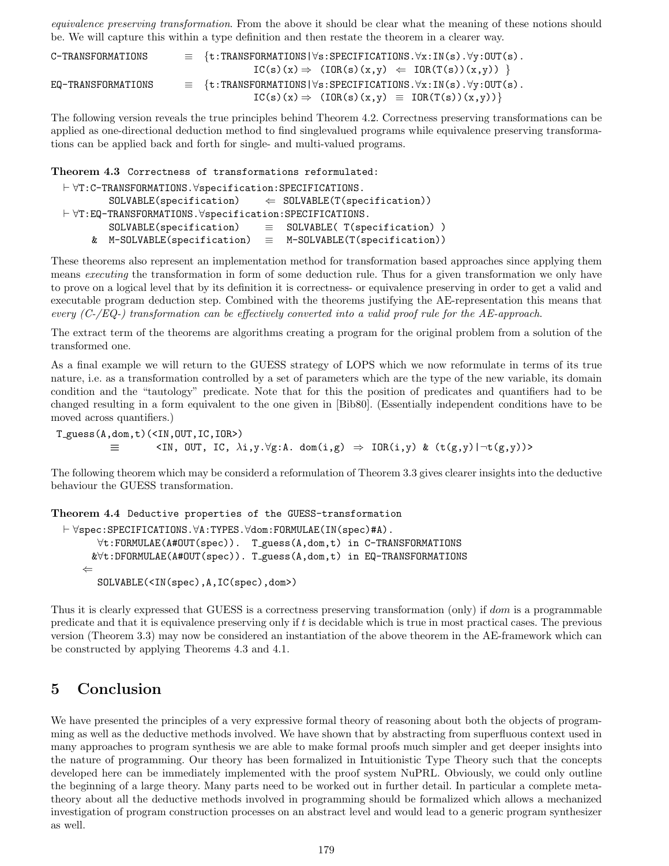equivalence preserving transformation. From the above it should be clear what the meaning of these notions should be. We will capture this within a type definition and then restate the theorem in a clearer way.

C-TRANSFORMATIONS  $\equiv \{t:$ TRANSFORMATIONS| $\forall s:$ SPECIFICATIONS. $\forall x:$ IN(s). $\forall y:$ OUT(s).  $IC(s)(x) \Rightarrow (IOR(s)(x,y) \Leftarrow IOR(T(s))(x,y))$  $EG-TRANSFORMATIONS \equiv \{t:TRANSFORMATIONS|\forall s:SPECTFICATIONS.\forall x:IN(s).\forall y:OUT(s).$  $IC(s)(x) \Rightarrow (IOR(s)(x,y) \equiv IOR(T(s))(x,y))$ 

The following version reveals the true principles behind Theorem 4.2. Correctness preserving transformations can be applied as one-directional deduction method to find singlevalued programs while equivalence preserving transformations can be applied back and forth for single- and multi-valued programs.

Theorem 4.3 Correctness of transformations reformulated:

```
` ∀T:C-TRANSFORMATIONS.∀specification:SPECIFICATIONS.
        SOLVABLE(specification) \Leftrightarrow SOLVABLE(T(specification))` ∀T:EQ-TRANSFORMATIONS.∀specification:SPECIFICATIONS.
        SOLVABLE(specification) = SOLVABLE(T(specification))& M-SOLVABLE(specification) ≡ M-SOLVABLE(T(specification))
```
These theorems also represent an implementation method for transformation based approaches since applying them means executing the transformation in form of some deduction rule. Thus for a given transformation we only have to prove on a logical level that by its definition it is correctness- or equivalence preserving in order to get a valid and executable program deduction step. Combined with the theorems justifying the AE-representation this means that every  $(C$ -/EQ-) transformation can be effectively converted into a valid proof rule for the AE-approach.

The extract term of the theorems are algorithms creating a program for the original problem from a solution of the transformed one.

As a final example we will return to the GUESS strategy of LOPS which we now reformulate in terms of its true nature, i.e. as a transformation controlled by a set of parameters which are the type of the new variable, its domain condition and the "tautology" predicate. Note that for this the position of predicates and quantifiers had to be changed resulting in a form equivalent to the one given in [Bib80]. (Essentially independent conditions have to be moved across quantifiers.)

T guess(A,dom,t)(<IN,OUT,IC,IOR>)  $\text{SIN}, \text{OUT}, \text{IC}, \lambda \text{i}, \text{y}.\forall \text{g}: \text{A}. \text{dom}(\text{i}, \text{g}) \Rightarrow \text{IOR}(\text{i}, \text{y}) \& (\text{t}(g, \text{y}) \mid \neg \text{t}(g, \text{y}))$ 

The following theorem which may be considerd a reformulation of Theorem 3.3 gives clearer insights into the deductive behaviour the GUESS transformation.

```
Theorem 4.4 Deductive properties of the GUESS-transformation
  ` ∀spec:SPECIFICATIONS.∀A:TYPES.∀dom:FORMULAE(IN(spec)#A).
        ∀t:FORMULAE(A#OUT(spec)). T guess(A,dom,t) in C-TRANSFORMATIONS
       &∀t:DFORMULAE(A#OUT(spec)). T guess(A,dom,t) in EQ-TRANSFORMATIONS
     \leftarrow
```

```
SOLVABLE(<IN(spec),A,IC(spec),dom>)
```
Thus it is clearly expressed that GUESS is a correctness preserving transformation (only) if dom is a programmable predicate and that it is equivalence preserving only if t is decidable which is true in most practical cases. The previous version (Theorem 3.3) may now be considered an instantiation of the above theorem in the AE-framework which can be constructed by applying Theorems 4.3 and 4.1.

## 5 Conclusion

We have presented the principles of a very expressive formal theory of reasoning about both the objects of programming as well as the deductive methods involved. We have shown that by abstracting from superfluous context used in many approaches to program synthesis we are able to make formal proofs much simpler and get deeper insights into the nature of programming. Our theory has been formalized in Intuitionistic Type Theory such that the concepts developed here can be immediately implemented with the proof system NuPRL. Obviously, we could only outline the beginning of a large theory. Many parts need to be worked out in further detail. In particular a complete metatheory about all the deductive methods involved in programming should be formalized which allows a mechanized investigation of program construction processes on an abstract level and would lead to a generic program synthesizer as well.